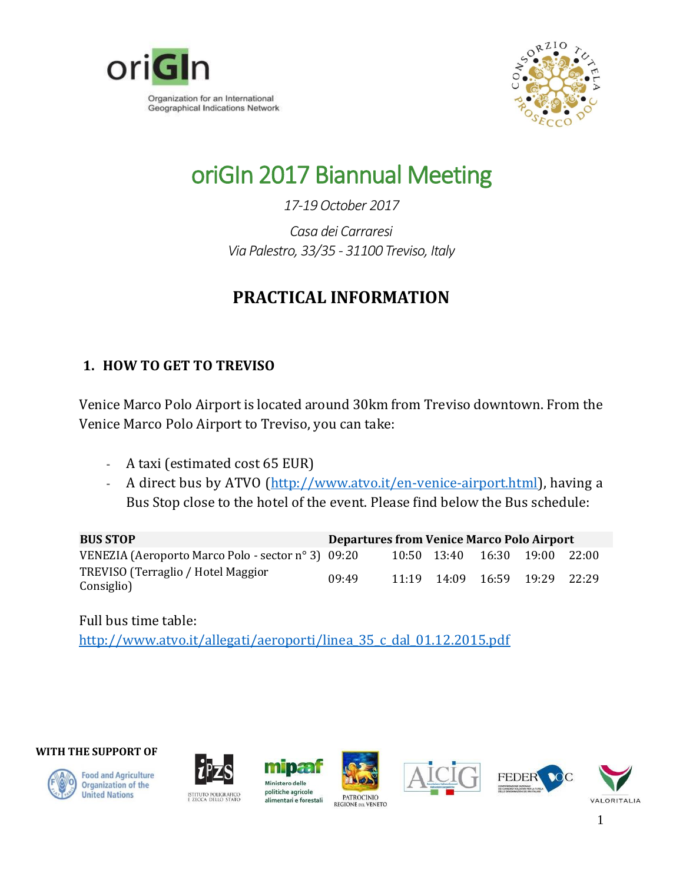



# oriGIn 2017 Biannual Meeting

*17-19October 2017*

*Casa dei Carraresi Via Palestro, 33/35 - 31100 Treviso, Italy*

## **PRACTICAL INFORMATION**

### **1. HOW TO GET TO TREVISO**

Venice Marco Polo Airport is located around 30km from Treviso downtown. From the Venice Marco Polo Airport to Treviso, you can take:

- **-** A taxi (estimated cost 65 EUR)
- **-** A direct bus by ATVO [\(http://www.atvo.it/en-venice-airport.html\)](http://www.atvo.it/en-venice-airport.html), having a Bus Stop close to the hotel of the event. Please find below the Bus schedule:

| <b>BUS STOP</b>                                    | <b>Departures from Venice Marco Polo Airport</b> |                         |  |       |
|----------------------------------------------------|--------------------------------------------------|-------------------------|--|-------|
| VENEZIA (Aeroporto Marco Polo - sector nº 3) 09:20 |                                                  | 10:50 13:40 16:30 19:00 |  | 22:00 |
| TREVISO (Terraglio / Hotel Maggior<br>Consiglio)   | 09:49                                            | 11:19 14:09 16:59 19:29 |  | 22:29 |

Full bus time table: [http://www.atvo.it/allegati/aeroporti/linea\\_35\\_c\\_dal\\_01.12.2015.pdf](http://www.atvo.it/allegati/aeroporti/linea_35_c_dal_01.12.2015.pdf)

**WITH THE SUPPORT OF**



**Food and Agriculture Organization of the United Nations** 



mipal Ministero delle politiche agricole alimentari e forestali







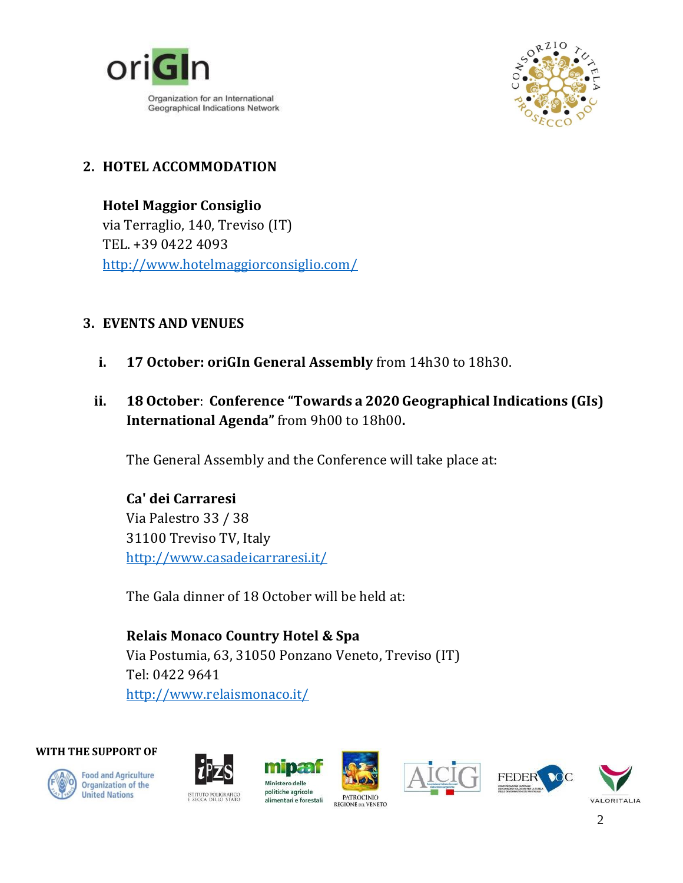



### **2. HOTEL ACCOMMODATION**

**Hotel Maggior Consiglio** via Terraglio, 140, Treviso (IT) TEL. +39 0422 4093 <http://www.hotelmaggiorconsiglio.com/>

### **3. EVENTS AND VENUES**

- **i. 17 October: oriGIn General Assembly** from 14h30 to 18h30.
- **ii. 18 October**: **Conference "Towards a 2020 Geographical Indications (GIs) International Agenda"** from 9h00 to 18h00**.**

The General Assembly and the Conference will take place at:

**Ca' dei [Carraresi](http://www.casadeicarraresi.it/)** Via Palestro 33 / 38 31100 Treviso TV, Italy <http://www.casadeicarraresi.it/>

The Gala dinner of 18 October will be held at:

**Relais Monaco Country Hotel & Spa** Via Postumia, 63, 31050 Ponzano Veneto, Treviso (IT) Tel: 0422 9641 http://www.relaismonaco.it/

#### **WITH THE SUPPORT OF**



**Food and Agriculture Organization of the United Nations** 



mipæl Ministero delle politiche agricole alimentari e forestali







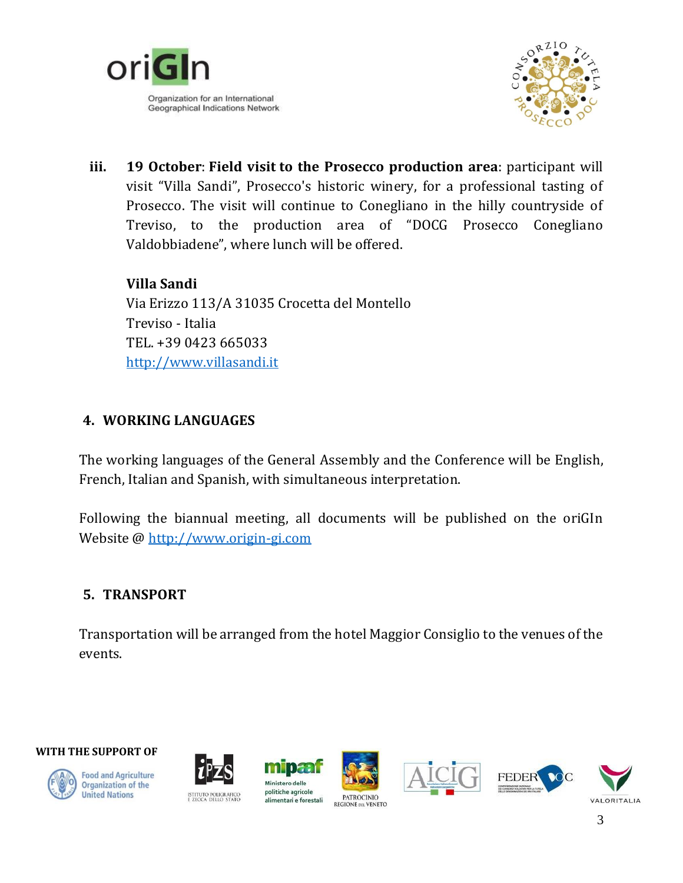



**iii. 19 October**: **Field visit to the Prosecco production area**: participant will visit "Villa Sandi", Prosecco's historic winery, for a professional tasting of Prosecco. The visit will continue to Conegliano in the hilly countryside of Treviso, to the production area of "DOCG Prosecco Conegliano Valdobbiadene", where lunch will be offered.

**Villa Sandi**  Via Erizzo 113/A 31035 Crocetta del Montello Treviso - Italia TEL. +39 0423 665033 [http://www.villasandi.it](http://www.villasandi.it/) 

### **4. WORKING LANGUAGES**

The working languages of the General Assembly and the Conference will be English, French, Italian and Spanish, with simultaneous interpretation.

Following the biannual meeting, all documents will be published on the oriGIn Website @ [http://www.origin-gi.com](http://www.origin-gi.com/)

### **5. TRANSPORT**

Transportation will be arranged from the hotel Maggior Consiglio to the venues of the events.

**WITH THE SUPPORT OF**

**Food and Agriculture** 

Organization of the

**United Nations** 





ISTITUTO POLIGRAFICO<br>E ZECCA DELLO STATO